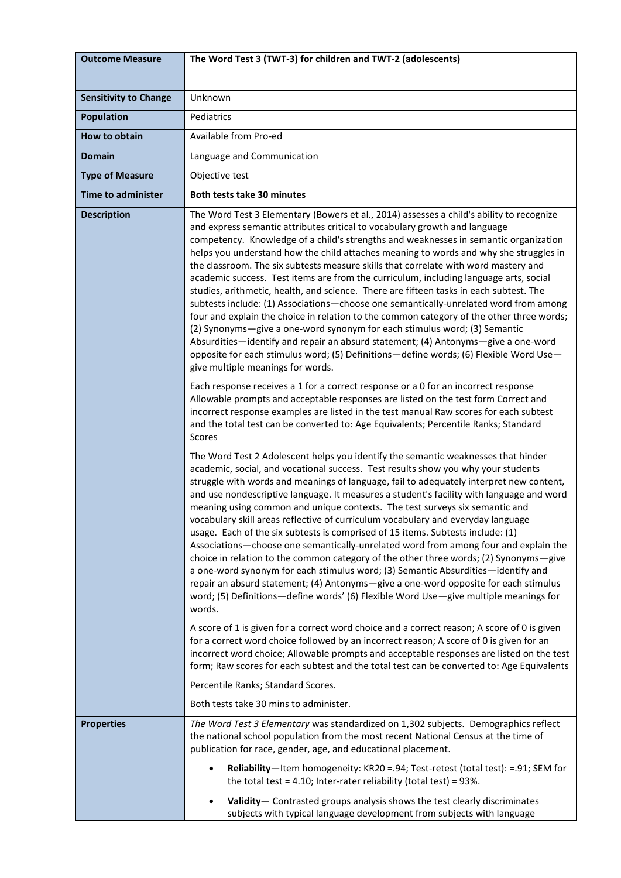| <b>Outcome Measure</b>       | The Word Test 3 (TWT-3) for children and TWT-2 (adolescents)                                                                                                                                                                                                                                                                                                                                                                                                                                                                                                                                                                                                                                                                                                                                                                                                                                                                                                                                                                                                                                                                                                                                                                                                                                                                                                                                                                                                                                                                                                                                                                                                                                                                                                                                                                                                                                                                                                                                                                                                                                                                                                                                                                                                                                                                                                                                                                                                                                                                                                                                                                                                                          |
|------------------------------|---------------------------------------------------------------------------------------------------------------------------------------------------------------------------------------------------------------------------------------------------------------------------------------------------------------------------------------------------------------------------------------------------------------------------------------------------------------------------------------------------------------------------------------------------------------------------------------------------------------------------------------------------------------------------------------------------------------------------------------------------------------------------------------------------------------------------------------------------------------------------------------------------------------------------------------------------------------------------------------------------------------------------------------------------------------------------------------------------------------------------------------------------------------------------------------------------------------------------------------------------------------------------------------------------------------------------------------------------------------------------------------------------------------------------------------------------------------------------------------------------------------------------------------------------------------------------------------------------------------------------------------------------------------------------------------------------------------------------------------------------------------------------------------------------------------------------------------------------------------------------------------------------------------------------------------------------------------------------------------------------------------------------------------------------------------------------------------------------------------------------------------------------------------------------------------------------------------------------------------------------------------------------------------------------------------------------------------------------------------------------------------------------------------------------------------------------------------------------------------------------------------------------------------------------------------------------------------------------------------------------------------------------------------------------------------|
|                              |                                                                                                                                                                                                                                                                                                                                                                                                                                                                                                                                                                                                                                                                                                                                                                                                                                                                                                                                                                                                                                                                                                                                                                                                                                                                                                                                                                                                                                                                                                                                                                                                                                                                                                                                                                                                                                                                                                                                                                                                                                                                                                                                                                                                                                                                                                                                                                                                                                                                                                                                                                                                                                                                                       |
| <b>Sensitivity to Change</b> | Unknown                                                                                                                                                                                                                                                                                                                                                                                                                                                                                                                                                                                                                                                                                                                                                                                                                                                                                                                                                                                                                                                                                                                                                                                                                                                                                                                                                                                                                                                                                                                                                                                                                                                                                                                                                                                                                                                                                                                                                                                                                                                                                                                                                                                                                                                                                                                                                                                                                                                                                                                                                                                                                                                                               |
| <b>Population</b>            | Pediatrics                                                                                                                                                                                                                                                                                                                                                                                                                                                                                                                                                                                                                                                                                                                                                                                                                                                                                                                                                                                                                                                                                                                                                                                                                                                                                                                                                                                                                                                                                                                                                                                                                                                                                                                                                                                                                                                                                                                                                                                                                                                                                                                                                                                                                                                                                                                                                                                                                                                                                                                                                                                                                                                                            |
| <b>How to obtain</b>         | Available from Pro-ed                                                                                                                                                                                                                                                                                                                                                                                                                                                                                                                                                                                                                                                                                                                                                                                                                                                                                                                                                                                                                                                                                                                                                                                                                                                                                                                                                                                                                                                                                                                                                                                                                                                                                                                                                                                                                                                                                                                                                                                                                                                                                                                                                                                                                                                                                                                                                                                                                                                                                                                                                                                                                                                                 |
| Domain                       | Language and Communication                                                                                                                                                                                                                                                                                                                                                                                                                                                                                                                                                                                                                                                                                                                                                                                                                                                                                                                                                                                                                                                                                                                                                                                                                                                                                                                                                                                                                                                                                                                                                                                                                                                                                                                                                                                                                                                                                                                                                                                                                                                                                                                                                                                                                                                                                                                                                                                                                                                                                                                                                                                                                                                            |
| <b>Type of Measure</b>       | Objective test                                                                                                                                                                                                                                                                                                                                                                                                                                                                                                                                                                                                                                                                                                                                                                                                                                                                                                                                                                                                                                                                                                                                                                                                                                                                                                                                                                                                                                                                                                                                                                                                                                                                                                                                                                                                                                                                                                                                                                                                                                                                                                                                                                                                                                                                                                                                                                                                                                                                                                                                                                                                                                                                        |
| <b>Time to administer</b>    | <b>Both tests take 30 minutes</b>                                                                                                                                                                                                                                                                                                                                                                                                                                                                                                                                                                                                                                                                                                                                                                                                                                                                                                                                                                                                                                                                                                                                                                                                                                                                                                                                                                                                                                                                                                                                                                                                                                                                                                                                                                                                                                                                                                                                                                                                                                                                                                                                                                                                                                                                                                                                                                                                                                                                                                                                                                                                                                                     |
| <b>Description</b>           | The Word Test 3 Elementary (Bowers et al., 2014) assesses a child's ability to recognize<br>and express semantic attributes critical to vocabulary growth and language<br>competency. Knowledge of a child's strengths and weaknesses in semantic organization<br>helps you understand how the child attaches meaning to words and why she struggles in<br>the classroom. The six subtests measure skills that correlate with word mastery and<br>academic success. Test items are from the curriculum, including language arts, social<br>studies, arithmetic, health, and science. There are fifteen tasks in each subtest. The<br>subtests include: (1) Associations-choose one semantically-unrelated word from among<br>four and explain the choice in relation to the common category of the other three words;<br>(2) Synonyms-give a one-word synonym for each stimulus word; (3) Semantic<br>Absurdities—identify and repair an absurd statement; (4) Antonyms—give a one-word<br>opposite for each stimulus word; (5) Definitions-define words; (6) Flexible Word Use-<br>give multiple meanings for words.<br>Each response receives a 1 for a correct response or a 0 for an incorrect response<br>Allowable prompts and acceptable responses are listed on the test form Correct and<br>incorrect response examples are listed in the test manual Raw scores for each subtest<br>and the total test can be converted to: Age Equivalents; Percentile Ranks; Standard<br><b>Scores</b><br>The Word Test 2 Adolescent helps you identify the semantic weaknesses that hinder<br>academic, social, and vocational success. Test results show you why your students<br>struggle with words and meanings of language, fail to adequately interpret new content,<br>and use nondescriptive language. It measures a student's facility with language and word<br>meaning using common and unique contexts. The test surveys six semantic and<br>vocabulary skill areas reflective of curriculum vocabulary and everyday language<br>usage. Each of the six subtests is comprised of 15 items. Subtests include: (1)<br>Associations-choose one semantically-unrelated word from among four and explain the<br>choice in relation to the common category of the other three words; (2) Synonyms-give<br>a one-word synonym for each stimulus word; (3) Semantic Absurdities-identify and<br>repair an absurd statement; (4) Antonyms-give a one-word opposite for each stimulus<br>word; (5) Definitions—define words' (6) Flexible Word Use—give multiple meanings for<br>words.<br>A score of 1 is given for a correct word choice and a correct reason; A score of 0 is given |
|                              | for a correct word choice followed by an incorrect reason; A score of 0 is given for an<br>incorrect word choice; Allowable prompts and acceptable responses are listed on the test<br>form; Raw scores for each subtest and the total test can be converted to: Age Equivalents                                                                                                                                                                                                                                                                                                                                                                                                                                                                                                                                                                                                                                                                                                                                                                                                                                                                                                                                                                                                                                                                                                                                                                                                                                                                                                                                                                                                                                                                                                                                                                                                                                                                                                                                                                                                                                                                                                                                                                                                                                                                                                                                                                                                                                                                                                                                                                                                      |
|                              | Percentile Ranks; Standard Scores.                                                                                                                                                                                                                                                                                                                                                                                                                                                                                                                                                                                                                                                                                                                                                                                                                                                                                                                                                                                                                                                                                                                                                                                                                                                                                                                                                                                                                                                                                                                                                                                                                                                                                                                                                                                                                                                                                                                                                                                                                                                                                                                                                                                                                                                                                                                                                                                                                                                                                                                                                                                                                                                    |
|                              | Both tests take 30 mins to administer.                                                                                                                                                                                                                                                                                                                                                                                                                                                                                                                                                                                                                                                                                                                                                                                                                                                                                                                                                                                                                                                                                                                                                                                                                                                                                                                                                                                                                                                                                                                                                                                                                                                                                                                                                                                                                                                                                                                                                                                                                                                                                                                                                                                                                                                                                                                                                                                                                                                                                                                                                                                                                                                |
| <b>Properties</b>            | The Word Test 3 Elementary was standardized on 1,302 subjects. Demographics reflect<br>the national school population from the most recent National Census at the time of<br>publication for race, gender, age, and educational placement.                                                                                                                                                                                                                                                                                                                                                                                                                                                                                                                                                                                                                                                                                                                                                                                                                                                                                                                                                                                                                                                                                                                                                                                                                                                                                                                                                                                                                                                                                                                                                                                                                                                                                                                                                                                                                                                                                                                                                                                                                                                                                                                                                                                                                                                                                                                                                                                                                                            |
|                              | Reliability-Item homogeneity: KR20 = .94; Test-retest (total test): = .91; SEM for<br>the total test = 4.10; Inter-rater reliability (total test) = $93\%$ .                                                                                                                                                                                                                                                                                                                                                                                                                                                                                                                                                                                                                                                                                                                                                                                                                                                                                                                                                                                                                                                                                                                                                                                                                                                                                                                                                                                                                                                                                                                                                                                                                                                                                                                                                                                                                                                                                                                                                                                                                                                                                                                                                                                                                                                                                                                                                                                                                                                                                                                          |
|                              | Validity-Contrasted groups analysis shows the test clearly discriminates<br>subjects with typical language development from subjects with language                                                                                                                                                                                                                                                                                                                                                                                                                                                                                                                                                                                                                                                                                                                                                                                                                                                                                                                                                                                                                                                                                                                                                                                                                                                                                                                                                                                                                                                                                                                                                                                                                                                                                                                                                                                                                                                                                                                                                                                                                                                                                                                                                                                                                                                                                                                                                                                                                                                                                                                                    |